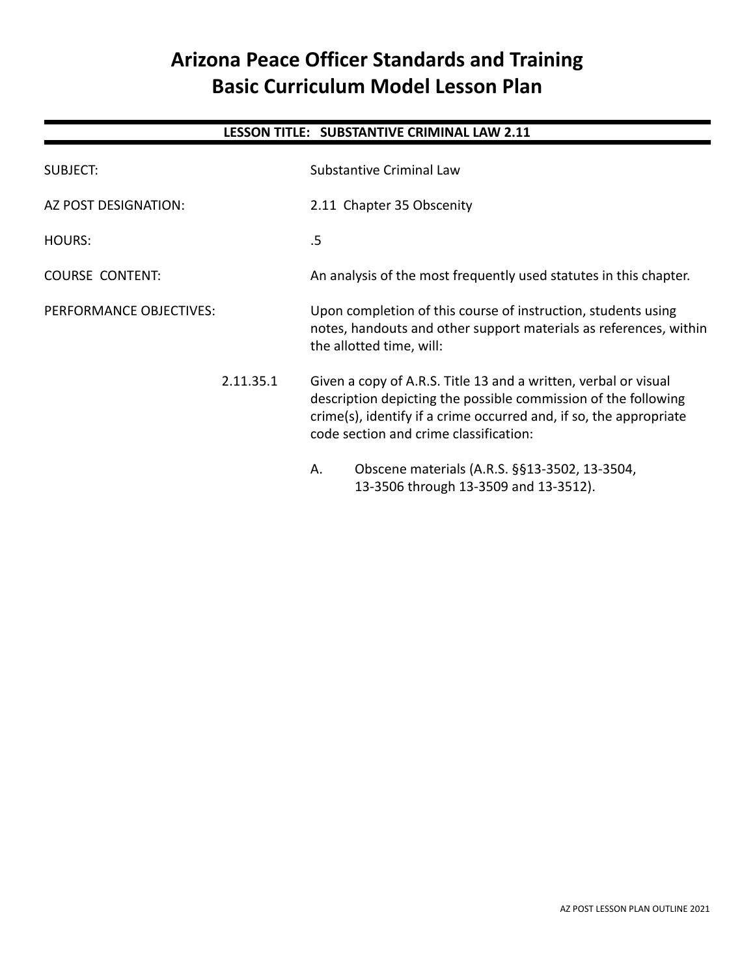# **Arizona Peace Officer Standards and Training Basic Curriculum Model Lesson Plan**

## **LESSON TITLE: SUBSTANTIVE CRIMINAL LAW 2.11**

| <b>SUBJECT:</b>         | Substantive Criminal Law                                                                                                                                                                                                                          |  |
|-------------------------|---------------------------------------------------------------------------------------------------------------------------------------------------------------------------------------------------------------------------------------------------|--|
| AZ POST DESIGNATION:    | 2.11 Chapter 35 Obscenity                                                                                                                                                                                                                         |  |
| <b>HOURS:</b>           | .5                                                                                                                                                                                                                                                |  |
| <b>COURSE CONTENT:</b>  | An analysis of the most frequently used statutes in this chapter.                                                                                                                                                                                 |  |
| PERFORMANCE OBJECTIVES: | Upon completion of this course of instruction, students using<br>notes, handouts and other support materials as references, within<br>the allotted time, will:                                                                                    |  |
| 2.11.35.1               | Given a copy of A.R.S. Title 13 and a written, verbal or visual<br>description depicting the possible commission of the following<br>crime(s), identify if a crime occurred and, if so, the appropriate<br>code section and crime classification: |  |
|                         | Obscene materials (A.R.S. §§13-3502, 13-3504,<br>А.<br>13-3506 through 13-3509 and 13-3512).                                                                                                                                                      |  |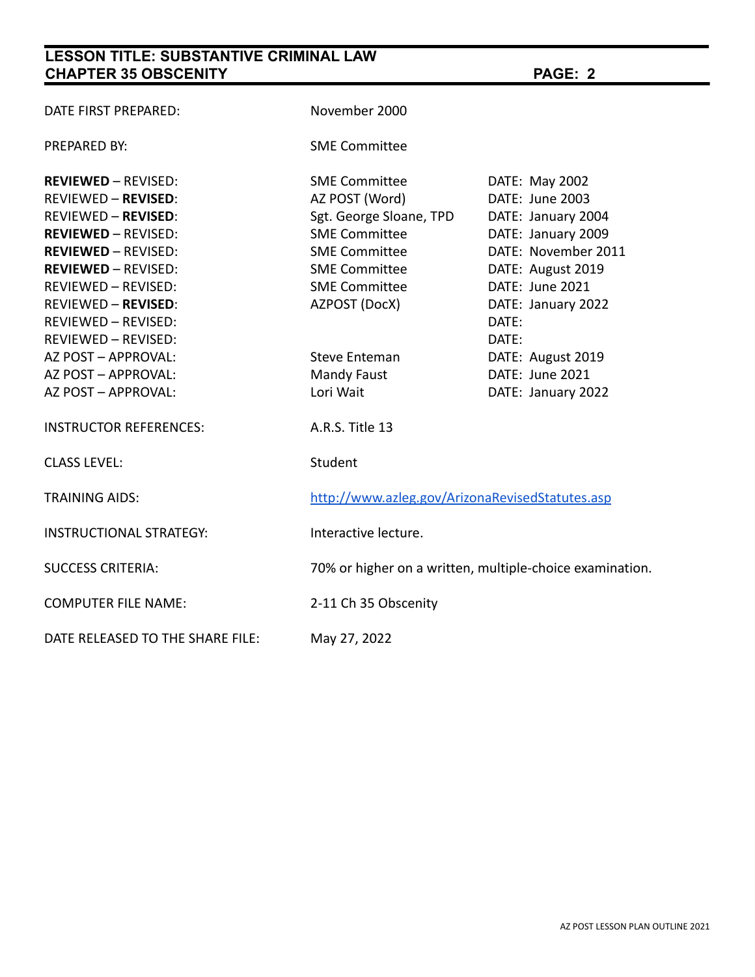# **LESSON TITLE: SUBSTANTIVE CRIMINAL LAW CHAPTER 35 OBSCENITY PAGE: 2**

| DATE FIRST PREPARED:             | November 2000                                            |                     |
|----------------------------------|----------------------------------------------------------|---------------------|
| <b>PREPARED BY:</b>              | <b>SME Committee</b>                                     |                     |
| <b>REVIEWED - REVISED:</b>       | <b>SME Committee</b>                                     | DATE: May 2002      |
| <b>REVIEWED - REVISED:</b>       | AZ POST (Word)                                           | DATE: June 2003     |
| <b>REVIEWED - REVISED:</b>       | Sgt. George Sloane, TPD                                  | DATE: January 2004  |
| <b>REVIEWED - REVISED:</b>       | <b>SME Committee</b>                                     | DATE: January 2009  |
| <b>REVIEWED - REVISED:</b>       | <b>SME Committee</b>                                     | DATE: November 2011 |
| <b>REVIEWED - REVISED:</b>       | <b>SME Committee</b>                                     | DATE: August 2019   |
| <b>REVIEWED - REVISED:</b>       | <b>SME Committee</b>                                     | DATE: June 2021     |
| <b>REVIEWED - REVISED:</b>       | AZPOST (DocX)                                            | DATE: January 2022  |
| REVIEWED - REVISED:              |                                                          | DATE:               |
| <b>REVIEWED - REVISED:</b>       |                                                          | DATE:               |
| AZ POST - APPROVAL:              | <b>Steve Enteman</b>                                     | DATE: August 2019   |
| AZ POST - APPROVAL:              | Mandy Faust                                              | DATE: June 2021     |
| AZ POST - APPROVAL:              | Lori Wait                                                | DATE: January 2022  |
| <b>INSTRUCTOR REFERENCES:</b>    | A.R.S. Title 13                                          |                     |
| <b>CLASS LEVEL:</b>              | Student                                                  |                     |
| <b>TRAINING AIDS:</b>            | http://www.azleg.gov/ArizonaRevisedStatutes.asp          |                     |
| <b>INSTRUCTIONAL STRATEGY:</b>   | Interactive lecture.                                     |                     |
| <b>SUCCESS CRITERIA:</b>         | 70% or higher on a written, multiple-choice examination. |                     |
| <b>COMPUTER FILE NAME:</b>       | 2-11 Ch 35 Obscenity                                     |                     |
| DATE RELEASED TO THE SHARE FILE: | May 27, 2022                                             |                     |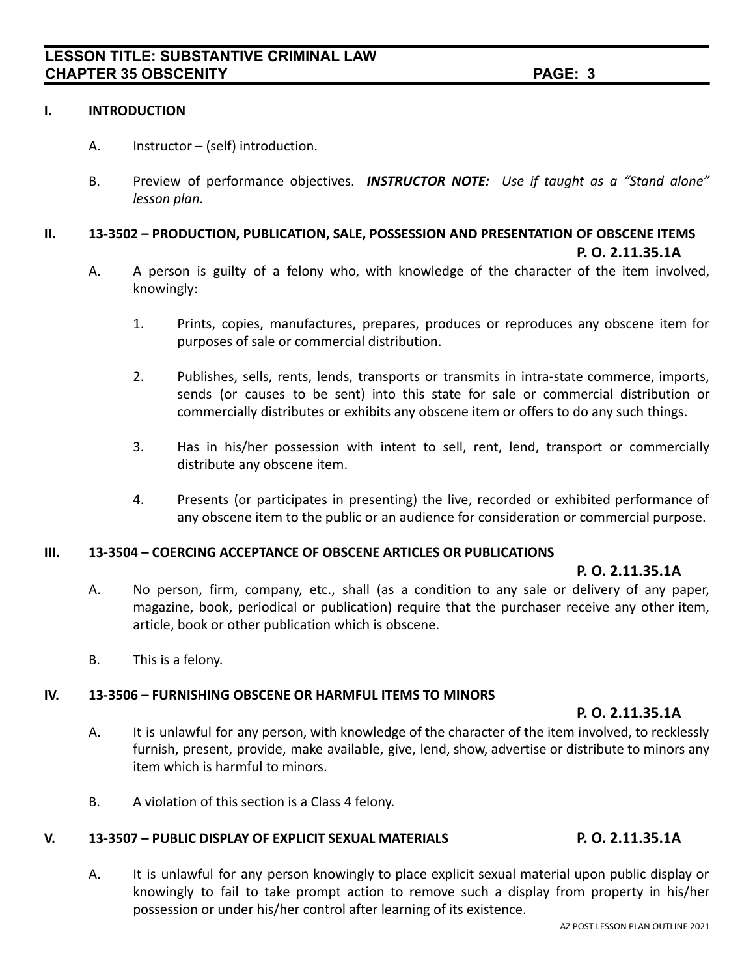#### **I. INTRODUCTION**

- A. Instructor (self) introduction.
- B. Preview of performance objectives. *INSTRUCTOR NOTE: Use if taught as a "Stand alone" lesson plan.*

#### **II. 13-3502 – PRODUCTION, PUBLICATION, SALE, POSSESSION AND PRESENTATION OF OBSCENE ITEMS P. O. 2.11.35.1A**

- A. A person is guilty of a felony who, with knowledge of the character of the item involved, knowingly:
	- 1. Prints, copies, manufactures, prepares, produces or reproduces any obscene item for purposes of sale or commercial distribution.
	- 2. Publishes, sells, rents, lends, transports or transmits in intra-state commerce, imports, sends (or causes to be sent) into this state for sale or commercial distribution or commercially distributes or exhibits any obscene item or offers to do any such things.
	- 3. Has in his/her possession with intent to sell, rent, lend, transport or commercially distribute any obscene item.
	- 4. Presents (or participates in presenting) the live, recorded or exhibited performance of any obscene item to the public or an audience for consideration or commercial purpose.

#### **III. 13-3504 – COERCING ACCEPTANCE OF OBSCENE ARTICLES OR PUBLICATIONS**

#### **P. O. 2.11.35.1A**

- A. No person, firm, company, etc., shall (as a condition to any sale or delivery of any paper, magazine, book, periodical or publication) require that the purchaser receive any other item, article, book or other publication which is obscene.
- B. This is a felony.

#### **IV. 13-3506 – FURNISHING OBSCENE OR HARMFUL ITEMS TO MINORS**

#### **P. O. 2.11.35.1A**

- A. It is unlawful for any person, with knowledge of the character of the item involved, to recklessly furnish, present, provide, make available, give, lend, show, advertise or distribute to minors any item which is harmful to minors.
- B. A violation of this section is a Class 4 felony.

#### **V. 13-3507 – PUBLIC DISPLAY OF EXPLICIT SEXUAL MATERIALS P. O. 2.11.35.1A**

A. It is unlawful for any person knowingly to place explicit sexual material upon public display or knowingly to fail to take prompt action to remove such a display from property in his/her possession or under his/her control after learning of its existence.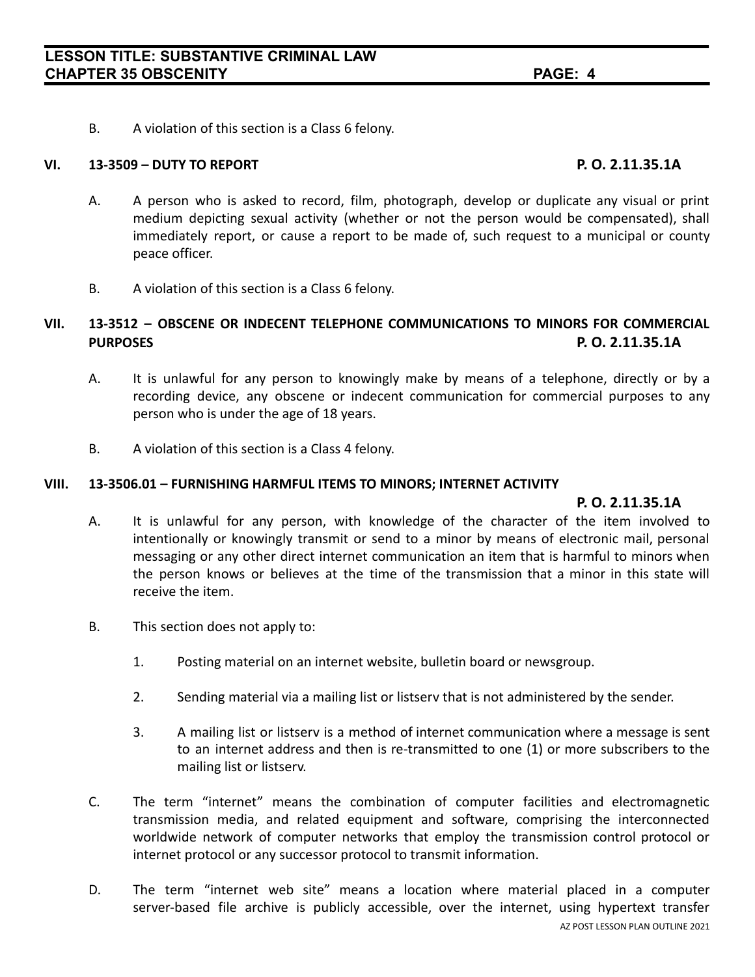B. A violation of this section is a Class 6 felony.

#### **VI. 13-3509 – DUTY TO REPORT P. O. 2.11.35.1A**

- A. A person who is asked to record, film, photograph, develop or duplicate any visual or print medium depicting sexual activity (whether or not the person would be compensated), shall immediately report, or cause a report to be made of, such request to a municipal or county peace officer.
- B. A violation of this section is a Class 6 felony.

### **VII. 13-3512 – OBSCENE OR INDECENT TELEPHONE COMMUNICATIONS TO MINORS FOR COMMERCIAL PURPOSES P. O. 2.11.35.1A**

- A. It is unlawful for any person to knowingly make by means of a telephone, directly or by a recording device, any obscene or indecent communication for commercial purposes to any person who is under the age of 18 years.
- B. A violation of this section is a Class 4 felony.

#### **VIII. 13-3506.01 – FURNISHING HARMFUL ITEMS TO MINORS; INTERNET ACTIVITY**

#### **P. O. 2.11.35.1A**

- A. It is unlawful for any person, with knowledge of the character of the item involved to intentionally or knowingly transmit or send to a minor by means of electronic mail, personal messaging or any other direct internet communication an item that is harmful to minors when the person knows or believes at the time of the transmission that a minor in this state will receive the item.
- B. This section does not apply to:
	- 1. Posting material on an internet website, bulletin board or newsgroup.
	- 2. Sending material via a mailing list or listserv that is not administered by the sender.
	- 3. A mailing list or listserv is a method of internet communication where a message is sent to an internet address and then is re-transmitted to one (1) or more subscribers to the mailing list or listserv.
- C. The term "internet" means the combination of computer facilities and electromagnetic transmission media, and related equipment and software, comprising the interconnected worldwide network of computer networks that employ the transmission control protocol or internet protocol or any successor protocol to transmit information.
- D. The term "internet web site" means a location where material placed in a computer server-based file archive is publicly accessible, over the internet, using hypertext transfer AZ POST LESSON PLAN OUTLINE 2021